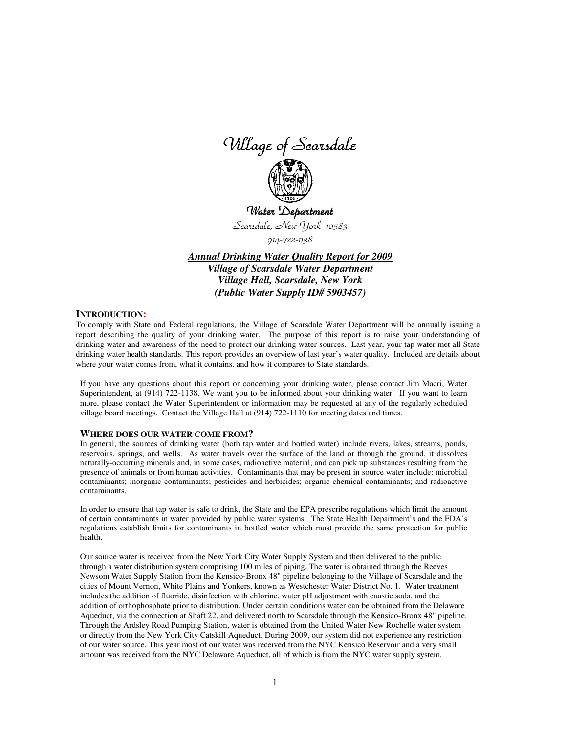Village of Scarsdale



Water Department Scarsdale, New York 10583

914-722-1138

*Annual Drinking Water Quality Report for 2009 Village of Scarsdale Water Department Village Hall, Scarsdale, New York (Public Water Supply ID# 5903457)*

#### **INTRODUCTION:**

To comply with State and Federal regulations, the Village of Scarsdale Water Department will be annually issuing a report describing the quality of your drinking water. The purpose of this report is to raise your understanding of drinking water and awareness of the need to protect our drinking water sources. Last year, your tap water met all State drinking water health standards. This report provides an overview of last year's water quality. Included are details about where your water comes from, what it contains, and how it compares to State standards.

If you have any questions about this report or concerning your drinking water, please contact Jim Macri, Water Superintendent, at (914) 722-1138. We want you to be informed about your drinking water. If you want to learn more, please contact the Water Superintendent or information may be requested at any of the regularly scheduled village board meetings. Contact the Village Hall at (914) 722-1110 for meeting dates and times.

#### **WHERE DOES OUR WATER COME FROM?**

In general, the sources of drinking water (both tap water and bottled water) include rivers, lakes, streams, ponds, reservoirs, springs, and wells. As water travels over the surface of the land or through the ground, it dissolves naturally-occurring minerals and, in some cases, radioactive material, and can pick up substances resulting from the presence of animals or from human activities. Contaminants that may be present in source water include: microbial contaminants; inorganic contaminants; pesticides and herbicides; organic chemical contaminants; and radioactive contaminants.

In order to ensure that tap water is safe to drink, the State and the EPA prescribe regulations which limit the amount of certain contaminants in water provided by public water systems. The State Health Department's and the FDA's regulations establish limits for contaminants in bottled water which must provide the same protection for public health.

Our source water is received from the New York City Water Supply System and then delivered to the public through a water distribution system comprising 100 miles of piping. The water is obtained through the Reeves Newsom Water Supply Station from the Kensico-Bronx 48" pipeline belonging to the Village of Scarsdale and the cities of Mount Vernon, White Plains and Yonkers, known as Westchester Water District No. 1. Water treatment includes the addition of fluoride, disinfection with chlorine, water pH adjustment with caustic soda, and the addition of orthophosphate prior to distribution. Under certain conditions water can be obtained from the Delaware Aqueduct, via the connection at Shaft 22, and delivered north to Scarsdale through the Kensico-Bronx 48" pipeline. Through the Ardsley Road Pumping Station, water is obtained from the United Water New Rochelle water system or directly from the New York City Catskill Aqueduct. During 2009, our system did not experience any restriction of our water source. This year most of our water was received from the NYC Kensico Reservoir and a very small amount was received from the NYC Delaware Aqueduct, all of which is from the NYC water supply system.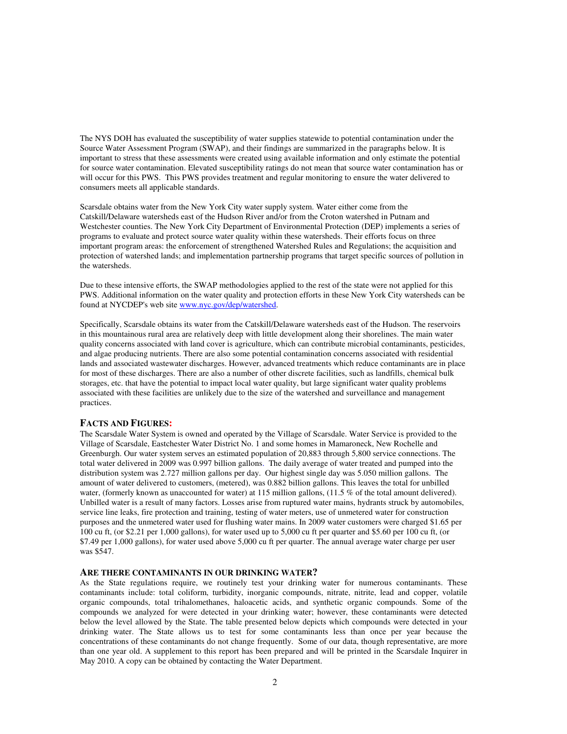The NYS DOH has evaluated the susceptibility of water supplies statewide to potential contamination under the Source Water Assessment Program (SWAP), and their findings are summarized in the paragraphs below. It is important to stress that these assessments were created using available information and only estimate the potential for source water contamination. Elevated susceptibility ratings do not mean that source water contamination has or will occur for this PWS. This PWS provides treatment and regular monitoring to ensure the water delivered to consumers meets all applicable standards.

Scarsdale obtains water from the New York City water supply system. Water either come from the Catskill/Delaware watersheds east of the Hudson River and/or from the Croton watershed in Putnam and Westchester counties. The New York City Department of Environmental Protection (DEP) implements a series of programs to evaluate and protect source water quality within these watersheds. Their efforts focus on three important program areas: the enforcement of strengthened Watershed Rules and Regulations; the acquisition and protection of watershed lands; and implementation partnership programs that target specific sources of pollution in the watersheds.

Due to these intensive efforts, the SWAP methodologies applied to the rest of the state were not applied for this PWS. Additional information on the water quality and protection efforts in these New York City watersheds can be found at NYCDEP's web site www.nyc.gov/dep/watershed.

Specifically, Scarsdale obtains its water from the Catskill/Delaware watersheds east of the Hudson. The reservoirs in this mountainous rural area are relatively deep with little development along their shorelines. The main water quality concerns associated with land cover is agriculture, which can contribute microbial contaminants, pesticides, and algae producing nutrients. There are also some potential contamination concerns associated with residential lands and associated wastewater discharges. However, advanced treatments which reduce contaminants are in place for most of these discharges. There are also a number of other discrete facilities, such as landfills, chemical bulk storages, etc. that have the potential to impact local water quality, but large significant water quality problems associated with these facilities are unlikely due to the size of the watershed and surveillance and management practices.

### **FACTS AND FIGURES:**

The Scarsdale Water System is owned and operated by the Village of Scarsdale. Water Service is provided to the Village of Scarsdale, Eastchester Water District No. 1 and some homes in Mamaroneck, New Rochelle and Greenburgh. Our water system serves an estimated population of 20,883 through 5,800 service connections. The total water delivered in 2009 was 0.997 billion gallons. The daily average of water treated and pumped into the distribution system was 2.727 million gallons per day. Our highest single day was 5.050 million gallons. The amount of water delivered to customers, (metered), was 0.882 billion gallons. This leaves the total for unbilled water, (formerly known as unaccounted for water) at 115 million gallons, (11.5 % of the total amount delivered). Unbilled water is a result of many factors. Losses arise from ruptured water mains, hydrants struck by automobiles, service line leaks, fire protection and training, testing of water meters, use of unmetered water for construction purposes and the unmetered water used for flushing water mains. In 2009 water customers were charged \$1.65 per 100 cu ft, (or \$2.21 per 1,000 gallons), for water used up to 5,000 cu ft per quarter and \$5.60 per 100 cu ft, (or \$7.49 per 1,000 gallons), for water used above 5,000 cu ft per quarter. The annual average water charge per user was \$547.

#### **ARE THERE CONTAMINANTS IN OUR DRINKING WATER?**

As the State regulations require, we routinely test your drinking water for numerous contaminants. These contaminants include: total coliform, turbidity, inorganic compounds, nitrate, nitrite, lead and copper, volatile organic compounds, total trihalomethanes, haloacetic acids, and synthetic organic compounds. Some of the compounds we analyzed for were detected in your drinking water; however, these contaminants were detected below the level allowed by the State. The table presented below depicts which compounds were detected in your drinking water. The State allows us to test for some contaminants less than once per year because the concentrations of these contaminants do not change frequently. Some of our data, though representative, are more than one year old. A supplement to this report has been prepared and will be printed in the Scarsdale Inquirer in May 2010. A copy can be obtained by contacting the Water Department.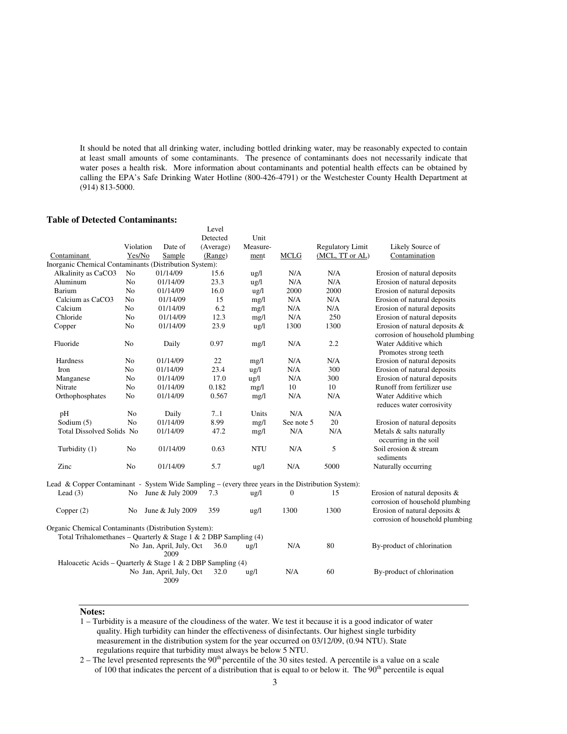It should be noted that all drinking water, including bottled drinking water, may be reasonably expected to contain at least small amounts of some contaminants. The presence of contaminants does not necessarily indicate that water poses a health risk. More information about contaminants and potential health effects can be obtained by calling the EPA's Safe Drinking Water Hotline (800-426-4791) or the Westchester County Health Department at (914) 813-5000.

## **Table of Detected Contaminants:**

|                                                                                                    |                |                                  | Level     |                 |                  |                         |                                                                  |
|----------------------------------------------------------------------------------------------------|----------------|----------------------------------|-----------|-----------------|------------------|-------------------------|------------------------------------------------------------------|
|                                                                                                    |                |                                  | Detected  | Unit            |                  |                         |                                                                  |
|                                                                                                    | Violation      | Date of                          | (Average) | Measure-        |                  | <b>Regulatory Limit</b> | Likely Source of                                                 |
| Contaminant                                                                                        | Yes/No         | Sample                           | (Range)   | ment            | <b>MCLG</b>      | (MCL, TT or AL)         | Contamination                                                    |
| Inorganic Chemical Contaminants (Distribution System):                                             |                |                                  |           |                 |                  |                         |                                                                  |
| Alkalinity as CaCO3                                                                                | N <sub>o</sub> | 01/14/09                         | 15.6      | $\frac{u}{g}$   | N/A              | N/A                     | Erosion of natural deposits                                      |
| Aluminum                                                                                           | N <sub>o</sub> | 01/14/09                         | 23.3      | $\lg/1$         | N/A              | N/A                     | Erosion of natural deposits                                      |
| Barium                                                                                             | N <sub>o</sub> | 01/14/09                         | 16.0      | $\frac{1}{2}$   | 2000             | 2000                    | Erosion of natural deposits                                      |
| Calcium as CaCO3                                                                                   | No             | 01/14/09                         | 15        | mg/l            | N/A              | N/A                     | Erosion of natural deposits                                      |
| Calcium                                                                                            | N <sub>o</sub> | 01/14/09                         | 6.2       | mg/l            | N/A              | N/A                     | Erosion of natural deposits                                      |
| Chloride                                                                                           | N <sub>o</sub> | 01/14/09                         | 12.3      | mg/l            | N/A              | 250                     | Erosion of natural deposits                                      |
| Copper                                                                                             | No             | 01/14/09                         | 23.9      | ug/l            | 1300             | 1300                    | Erosion of natural deposits &<br>corrosion of household plumbing |
| Fluoride                                                                                           | No             | Daily                            | 0.97      | mg/l            | N/A              | 2.2                     | Water Additive which<br>Promotes strong teeth                    |
| Hardness                                                                                           | N <sub>o</sub> | 01/14/09                         | 22        | mg/l            | N/A              | N/A                     | Erosion of natural deposits                                      |
| Iron                                                                                               | No             | 01/14/09                         | 23.4      | ug/l            | N/A              | 300                     | Erosion of natural deposits                                      |
| Manganese                                                                                          | No             | 01/14/09                         | 17.0      | $\frac{u g}{l}$ | N/A              | 300                     | Erosion of natural deposits                                      |
| Nitrate                                                                                            | N <sub>o</sub> | 01/14/09                         | 0.182     | mg/l            | 10               | 10                      | Runoff from fertilizer use                                       |
| Orthophosphates                                                                                    | No             | 01/14/09                         | 0.567     | mg/l            | N/A              | N/A                     | Water Additive which<br>reduces water corrosivity                |
| pH                                                                                                 | N <sub>o</sub> | Daily                            | 7.1       | Units           | N/A              | N/A                     |                                                                  |
| Sodium (5)                                                                                         | N <sub>o</sub> | 01/14/09                         | 8.99      | mg/l            | See note 5       | 20                      | Erosion of natural deposits                                      |
| Total Dissolved Solids No                                                                          |                | 01/14/09                         | 47.2      | mg/l            | N/A              | N/A                     | Metals & salts naturally<br>occurring in the soil                |
| Turbidity (1)                                                                                      | N <sub>0</sub> | 01/14/09                         | 0.63      | <b>NTU</b>      | N/A              | 5                       | Soil erosion & stream<br>sediments                               |
| Zinc                                                                                               | N <sub>o</sub> | 01/14/09                         | 5.7       | ug/l            | N/A              | 5000                    | Naturally occurring                                              |
| Lead & Copper Contaminant - System Wide Sampling – (every three years in the Distribution System): |                |                                  |           |                 |                  |                         |                                                                  |
| Lead $(3)$                                                                                         | No             | June & July 2009                 | 7.3       | $\frac{u g}{l}$ | $\boldsymbol{0}$ | 15                      | Erosion of natural deposits &<br>corrosion of household plumbing |
| Copper $(2)$                                                                                       | No             | June & July 2009                 | 359       | $\frac{u}{g}$   | 1300             | 1300                    | Erosion of natural deposits &<br>corrosion of household plumbing |
| Organic Chemical Contaminants (Distribution System):                                               |                |                                  |           |                 |                  |                         |                                                                  |
| Total Trihalomethanes - Quarterly & Stage 1 & 2 DBP Sampling (4)                                   |                |                                  |           |                 |                  |                         |                                                                  |
|                                                                                                    |                | No Jan, April, July, Oct<br>2009 | 36.0      | $u\text{g}/l$   | N/A              | 80                      | By-product of chlorination                                       |
| Haloacetic Acids – Quarterly & Stage 1 & 2 DBP Sampling (4)                                        |                |                                  |           |                 |                  |                         |                                                                  |
|                                                                                                    |                | No Jan, April, July, Oct<br>2009 | 32.0      | $\frac{1}{2}$   | N/A              | 60                      | By-product of chlorination                                       |

# **Notes:**

1 – Turbidity is a measure of the cloudiness of the water. We test it because it is a good indicator of water quality. High turbidity can hinder the effectiveness of disinfectants. Our highest single turbidity measurement in the distribution system for the year occurred on 03/12/09, (0.94 NTU). State regulations require that turbidity must always be below 5 NTU.

2 – The level presented represents the 90<sup>th</sup> percentile of the 30 sites tested. A percentile is a value on a scale of 100 that indicates the percent of a distribution that is equal to or below it. The  $90<sup>th</sup>$  percentile is equal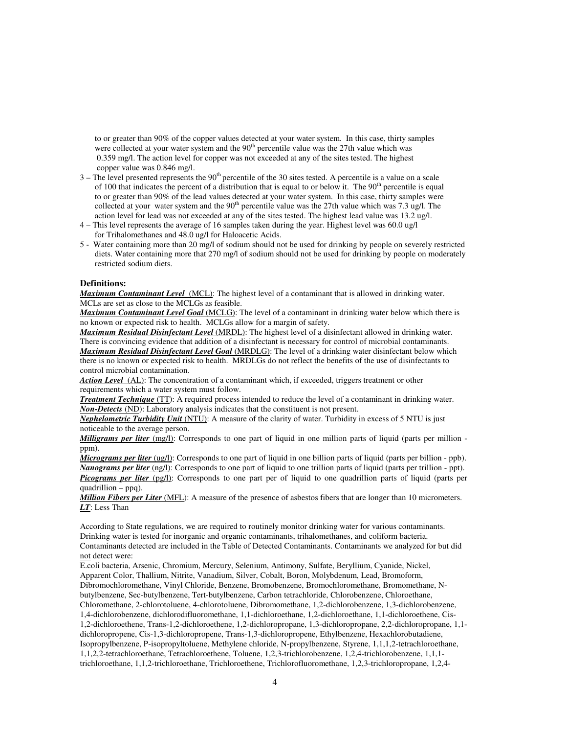to or greater than 90% of the copper values detected at your water system. In this case, thirty samples were collected at your water system and the 90<sup>th</sup> percentile value was the 27th value which was 0.359 mg/l. The action level for copper was not exceeded at any of the sites tested. The highest copper value was 0.846 mg/l.

- $3 -$  The level presented represents the  $90<sup>th</sup>$  percentile of the 30 sites tested. A percentile is a value on a scale of 100 that indicates the percent of a distribution that is equal to or below it. The  $90<sup>th</sup>$  percentile is equal to or greater than 90% of the lead values detected at your water system. In this case, thirty samples were collected at your water system and the 90<sup>th</sup> percentile value was the 27th value which was 7.3 ug/l. The action level for lead was not exceeded at any of the sites tested. The highest lead value was 13.2 ug/l.
- 4 This level represents the average of 16 samples taken during the year. Highest level was 60.0 ug/l for Trihalomethanes and 48.0 ug/l for Haloacetic Acids.
- 5 Water containing more than 20 mg/l of sodium should not be used for drinking by people on severely restricted diets. Water containing more that 270 mg/l of sodium should not be used for drinking by people on moderately restricted sodium diets.

## **Definitions:**

*Maximum Contaminant Level*(MCL): The highest level of a contaminant that is allowed in drinking water. MCLs are set as close to the MCLGs as feasible.

*Maximum Contaminant Level Goal* (MCLG): The level of a contaminant in drinking water below which there is no known or expected risk to health. MCLGs allow for a margin of safety.

*Maximum Residual Disinfectant Level* (MRDL): The highest level of a disinfectant allowed in drinking water. There is convincing evidence that addition of a disinfectant is necessary for control of microbial contaminants. *Maximum Residual Disinfectant Level Goal* (MRDLG): The level of a drinking water disinfectant below which there is no known or expected risk to health. MRDLGs do not reflect the benefits of the use of disinfectants to control microbial contamination.

Action Level (AL): The concentration of a contaminant which, if exceeded, triggers treatment or other requirements which a water system must follow.

*Treatment Technique* (TT): A required process intended to reduce the level of a contaminant in drinking water. *Non-Detects* (ND): Laboratory analysis indicates that the constituent is not present.

*Nephelometric Turbidity Unit* (NTU): A measure of the clarity of water. Turbidity in excess of 5 NTU is just noticeable to the average person.

*Milligrams per liter* (mg/l): Corresponds to one part of liquid in one million parts of liquid (parts per million ppm).

*Micrograms per liter* (ug/l): Corresponds to one part of liquid in one billion parts of liquid (parts per billion - ppb). *Nanograms per liter* (ng/l): Corresponds to one part of liquid to one trillion parts of liquid (parts per trillion - ppt). *Picograms per liter (pg/l)*: Corresponds to one part per of liquid to one quadrillion parts of liquid (parts per quadrillion – ppq).

*Million Fibers per Liter* (MFL): A measure of the presence of asbestos fibers that are longer than 10 micrometers. *LT*: Less Than

According to State regulations, we are required to routinely monitor drinking water for various contaminants. Drinking water is tested for inorganic and organic contaminants, trihalomethanes, and coliform bacteria. Contaminants detected are included in the Table of Detected Contaminants. Contaminants we analyzed for but did not detect were:

E.coli bacteria, Arsenic, Chromium, Mercury, Selenium, Antimony, Sulfate, Beryllium, Cyanide, Nickel, Apparent Color, Thallium, Nitrite, Vanadium, Silver, Cobalt, Boron, Molybdenum, Lead, Bromoform, Dibromochloromethane, Vinyl Chloride, Benzene, Bromobenzene, Bromochloromethane, Bromomethane, N-

butylbenzene, Sec-butylbenzene, Tert-butylbenzene, Carbon tetrachloride, Chlorobenzene, Chloroethane,

Chloromethane, 2-chlorotoluene, 4-chlorotoluene, Dibromomethane, 1,2-dichlorobenzene, 1,3-dichlorobenzene,

1,4-dichlorobenzene, dichlorodifluoromethane, 1,1-dichloroethane, 1,2-dichloroethane, 1,1-dichloroethene, Cis-1,2-dichloroethene, Trans-1,2-dichloroethene, 1,2-dichloropropane, 1,3-dichloropropane, 2,2-dichloropropane, 1,1-

dichloropropene, Cis-1,3-dichloropropene, Trans-1,3-dichloropropene, Ethylbenzene, Hexachlorobutadiene,

Isopropylbenzene, P-isopropyltoluene, Methylene chloride, N-propylbenzene, Styrene, 1,1,1,2-tetrachloroethane,

1,1,2,2-tetrachloroethane, Tetrachloroethene, Toluene, 1,2,3-trichlorobenzene, 1,2,4-trichlorobenzene, 1,1,1 trichloroethane, 1,1,2-trichloroethane, Trichloroethene, Trichlorofluoromethane, 1,2,3-trichloropropane, 1,2,4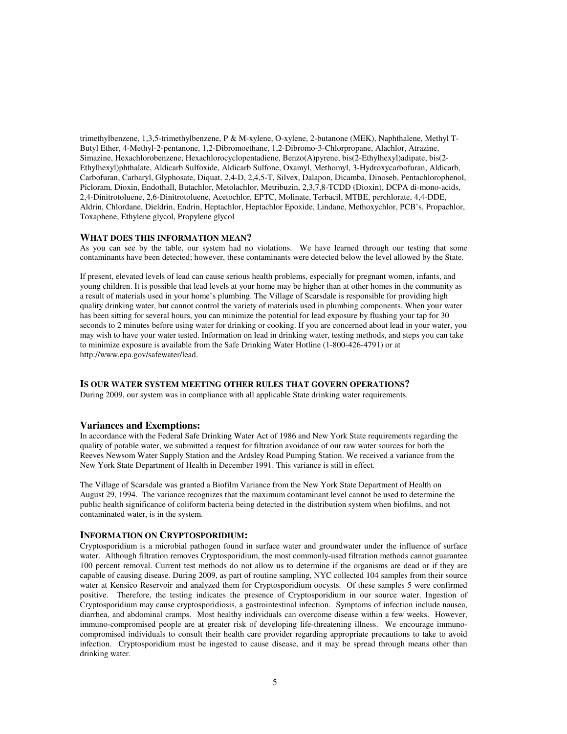trimethylbenzene, 1,3,5-trimethylbenzene, P & M-xylene, O-xylene, 2-butanone (MEK), Naphthalene, Methyl T-Butyl Ether, 4-Methyl-2-pentanone, 1,2-Dibromoethane, 1,2-Dibromo-3-Chlorpropane, Alachlor, Atrazine, Simazine, Hexachlorobenzene, Hexachlorocyclopentadiene, Benzo(A)pyrene, bis(2-Ethylhexyl)adipate, bis(2- Ethylhexyl)phthalate, Aldicarb Sulfoxide, Aldicarb Sulfone, Oxamyl, Methomyl, 3-Hydroxycarbofuran, Aldicarb, Carbofuran, Carbaryl, Glyphosate, Diquat, 2,4-D, 2,4,5-T, Silvex, Dalapon, Dicamba, Dinoseb, Pentachlorophenol, Picloram, Dioxin, Endothall, Butachlor, Metolachlor, Metribuzin, 2,3,7,8-TCDD (Dioxin), DCPA di-mono-acids, 2,4-Dinitrotoluene, 2,6-Dinitrotoluene, Acetochlor, EPTC, Molinate, Terbacil, MTBE, perchlorate, 4,4-DDE, Aldrin, Chlordane, Dieldrin, Endrin, Heptachlor, Heptachlor Epoxide, Lindane, Methoxychlor, PCB's, Propachlor, Toxaphene, Ethylene glycol, Propylene glycol

#### **WHAT DOES THIS INFORMATION MEAN?**

As you can see by the table, our system had no violations. We have learned through our testing that some contaminants have been detected; however, these contaminants were detected below the level allowed by the State.

If present, elevated levels of lead can cause serious health problems, especially for pregnant women, infants, and young children. It is possible that lead levels at your home may be higher than at other homes in the community as a result of materials used in your home's plumbing. The Village of Scarsdale is responsible for providing high quality drinking water, but cannot control the variety of materials used in plumbing components. When your water has been sitting for several hours, you can minimize the potential for lead exposure by flushing your tap for 30 seconds to 2 minutes before using water for drinking or cooking. If you are concerned about lead in your water, you may wish to have your water tested. Information on lead in drinking water, testing methods, and steps you can take to minimize exposure is available from the Safe Drinking Water Hotline (1-800-426-4791) or at http://www.epa.gov/safewater/lead.

#### **IS OUR WATER SYSTEM MEETING OTHER RULES THAT GOVERN OPERATIONS?**

During 2009, our system was in compliance with all applicable State drinking water requirements.

### **Variances and Exemptions:**

In accordance with the Federal Safe Drinking Water Act of 1986 and New York State requirements regarding the quality of potable water, we submitted a request for filtration avoidance of our raw water sources for both the Reeves Newsom Water Supply Station and the Ardsley Road Pumping Station. We received a variance from the New York State Department of Health in December 1991. This variance is still in effect.

The Village of Scarsdale was granted a Biofilm Variance from the New York State Department of Health on August 29, 1994. The variance recognizes that the maximum contaminant level cannot be used to determine the public health significance of coliform bacteria being detected in the distribution system when biofilms, and not contaminated water, is in the system.

#### **INFORMATION ON CRYPTOSPORIDIUM:**

Cryptosporidium is a microbial pathogen found in surface water and groundwater under the influence of surface water. Although filtration removes Cryptosporidium, the most commonly-used filtration methods cannot guarantee 100 percent removal. Current test methods do not allow us to determine if the organisms are dead or if they are capable of causing disease. During 2009, as part of routine sampling, NYC collected 104 samples from their source water at Kensico Reservoir and analyzed them for Cryptosporidium oocysts. Of these samples 5 were confirmed positive. Therefore, the testing indicates the presence of Cryptosporidium in our source water. Ingestion of Cryptosporidium may cause cryptosporidiosis, a gastrointestinal infection. Symptoms of infection include nausea, diarrhea, and abdominal cramps. Most healthy individuals can overcome disease within a few weeks. However, immuno-compromised people are at greater risk of developing life-threatening illness. We encourage immunocompromised individuals to consult their health care provider regarding appropriate precautions to take to avoid infection. Cryptosporidium must be ingested to cause disease, and it may be spread through means other than drinking water.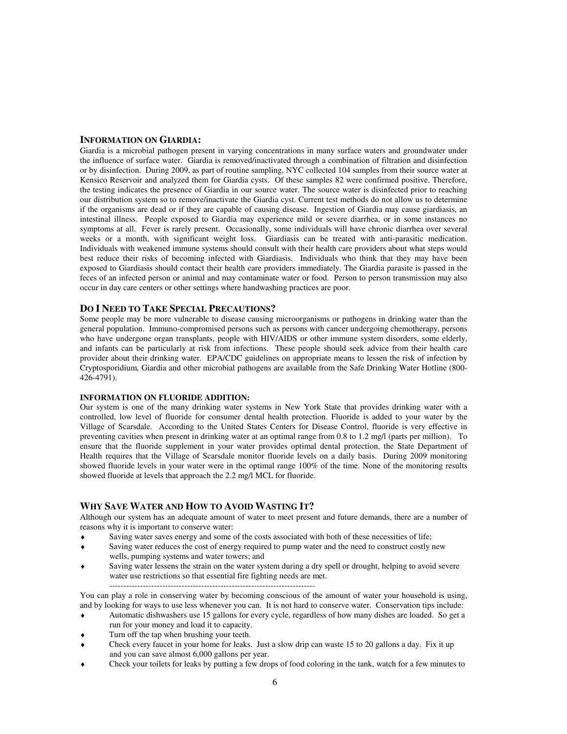## **INFORMATION ON GIARDIA:**

Giardia is a microbial pathogen present in varying concentrations in many surface waters and groundwater under the influence of surface water. Giardia is removed/inactivated through a combination of filtration and disinfection or by disinfection. During 2009, as part of routine sampling, NYC collected 104 samples from their source water at Kensico Reservoir and analyzed them for Giardia cysts. Of these samples 82 were confirmed positive. Therefore, the testing indicates the presence of Giardia in our source water. The source water is disinfected prior to reaching our distribution system so to remove/inactivate the Giardia cyst. Current test methods do not allow us to determine if the organisms are dead or if they are capable of causing disease. Ingestion of Giardia may cause giardiasis, an intestinal illness. People exposed to Giardia may experience mild or severe diarrhea, or in some instances no symptoms at all. Fever is rarely present. Occasionally, some individuals will have chronic diarrhea over several weeks or a month, with significant weight loss. Giardiasis can be treated with anti-parasitic medication. Individuals with weakened immune systems should consult with their health care providers about what steps would best reduce their risks of becoming infected with Giardiasis. Individuals who think that they may have been exposed to Giardiasis should contact their health care providers immediately. The Giardia parasite is passed in the feces of an infected person or animal and may contaminate water or food. Person to person transmission may also occur in day care centers or other settings where handwashing practices are poor.

## **DO I NEED TO TAKE SPECIAL PRECAUTIONS?**

Some people may be more vulnerable to disease causing microorganisms or pathogens in drinking water than the general population. Immuno-compromised persons such as persons with cancer undergoing chemotherapy, persons who have undergone organ transplants, people with HIV/AIDS or other immune system disorders, some elderly, and infants can be particularly at risk from infections. These people should seek advice from their health care provider about their drinking water. EPA/CDC guidelines on appropriate means to lessen the risk of infection by Cryptosporidium, Giardia and other microbial pathogens are available from the Safe Drinking Water Hotline (800- 426-4791).

## **INFORMATION ON FLUORIDE ADDITION:**

Our system is one of the many drinking water systems in New York State that provides drinking water with a controlled, low level of fluoride for consumer dental health protection. Fluoride is added to your water by the Village of Scarsdale. According to the United States Centers for Disease Control, fluoride is very effective in preventing cavities when present in drinking water at an optimal range from 0.8 to 1.2 mg/l (parts per million). To ensure that the fluoride supplement in your water provides optimal dental protection, the State Department of Health requires that the Village of Scarsdale monitor fluoride levels on a daily basis. During 2009 monitoring showed fluoride levels in your water were in the optimal range 100% of the time. None of the monitoring results showed fluoride at levels that approach the 2.2 mg/l MCL for fluoride.

## **WHY SAVE WATER AND HOW TO AVOID WASTING IT?**

Although our system has an adequate amount of water to meet present and future demands, there are a number of reasons why it is important to conserve water:

- Saving water saves energy and some of the costs associated with both of these necessities of life;
- Saving water reduces the cost of energy required to pump water and the need to construct costly new wells, pumping systems and water towers; and
- Saving water lessens the strain on the water system during a dry spell or drought, helping to avoid severe water use restrictions so that essential fire fighting needs are met.
- --------------------------------------------------------------------------

You can play a role in conserving water by becoming conscious of the amount of water your household is using, and by looking for ways to use less whenever you can. It is not hard to conserve water. Conservation tips include:

- Automatic dishwashers use 15 gallons for every cycle, regardless of how many dishes are loaded. So get a run for your money and load it to capacity.
- Turn off the tap when brushing your teeth.
- Check every faucet in your home for leaks. Just a slow drip can waste 15 to 20 gallons a day. Fix it up and you can save almost 6,000 gallons per year.
- Check your toilets for leaks by putting a few drops of food coloring in the tank, watch for a few minutes to